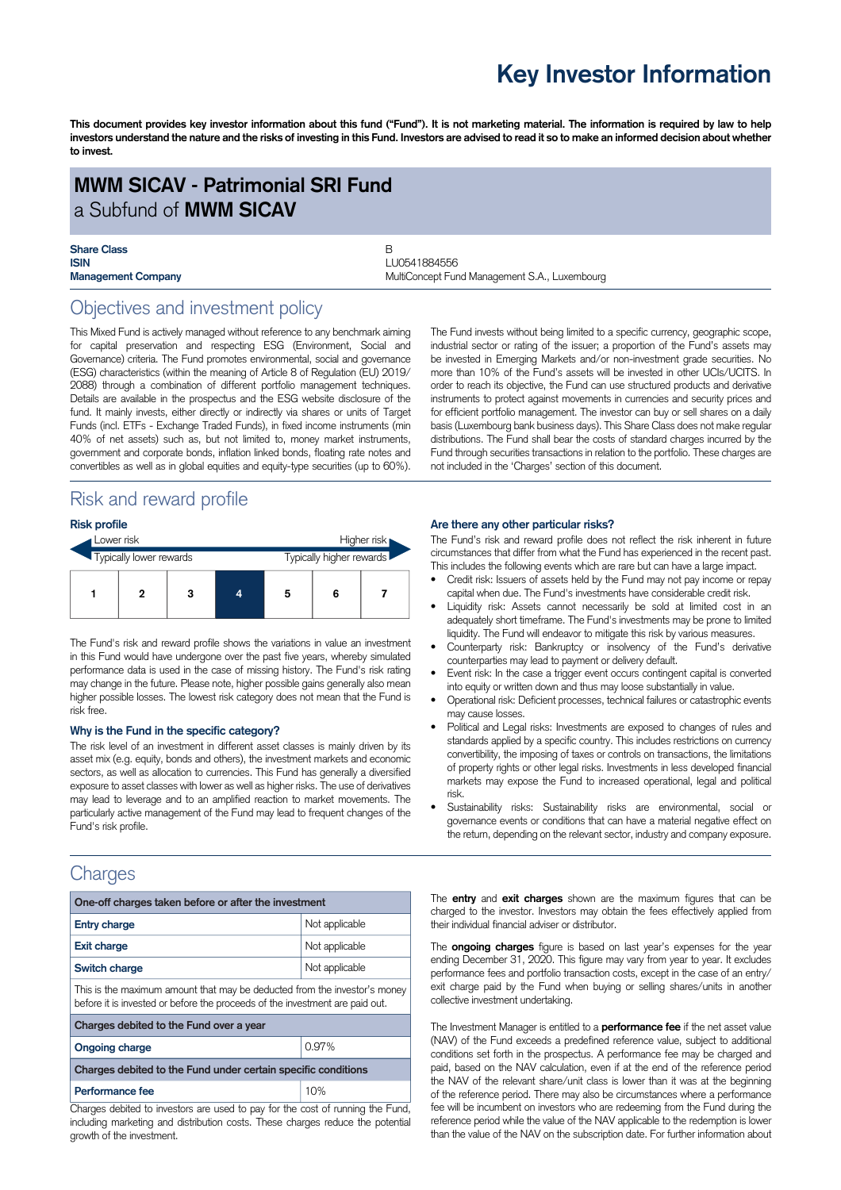# **Key Investor Information**

This document provides key investor information about this fund ("Fund"). It is not marketing material. The information is required by law to help investors understand the nature and the risks of investing in this Fund. Investors are advised to read it so to make an informed decision about whether **to invest.**

# **MWM SICAV - Patrimonial SRI Fund** a Subfund of **MWM SICAV**

| <b>Share Class</b>        |  |
|---------------------------|--|
| <b>ISIN</b>               |  |
| <b>Management Company</b> |  |

**ISIN** LU0541884556 **Management Company** MultiConcept Fund Management S.A., Luxembourg

# Objectives and investment policy

This Mixed Fund is actively managed without reference to any benchmark aiming for capital preservation and respecting ESG (Environment, Social and Governance) criteria. The Fund promotes environmental, social and governance (ESG) characteristics (within the meaning of Article 8 of Regulation (EU) 2019/ 2088) through a combination of different portfolio management techniques. Details are available in the prospectus and the ESG website disclosure of the fund. It mainly invests, either directly or indirectly via shares or units of Target Funds (incl. ETFs - Exchange Traded Funds), in fixed income instruments (min 40% of net assets) such as, but not limited to, money market instruments, government and corporate bonds, inflation linked bonds, floating rate notes and convertibles as well as in global equities and equity-type securities (up to 60%).

# Risk and reward profile

### **Risk profile**

| Lower risk<br>Typically lower rewards |  |  |  | Higher risk |                          |  |  |  |
|---------------------------------------|--|--|--|-------------|--------------------------|--|--|--|
|                                       |  |  |  |             | Typically higher rewards |  |  |  |
|                                       |  |  |  |             | 5                        |  |  |  |

The Fund's risk and reward profile shows the variations in value an investment in this Fund would have undergone over the past five years, whereby simulated performance data is used in the case of missing history. The Fund's risk rating may change in the future. Please note, higher possible gains generally also mean higher possible losses. The lowest risk category does not mean that the Fund is risk free.

#### **Why is the Fund in the specific category?**

The risk level of an investment in different asset classes is mainly driven by its asset mix (e.g. equity, bonds and others), the investment markets and economic sectors, as well as allocation to currencies. This Fund has generally a diversified exposure to asset classes with lower as well as higher risks. The use of derivatives may lead to leverage and to an amplified reaction to market movements. The particularly active management of the Fund may lead to frequent changes of the Fund's risk profile.

# **Charges**

| One-off charges taken before or after the investment                                                                                                      |                |  |  |  |  |
|-----------------------------------------------------------------------------------------------------------------------------------------------------------|----------------|--|--|--|--|
| <b>Entry charge</b>                                                                                                                                       | Not applicable |  |  |  |  |
| <b>Exit charge</b>                                                                                                                                        | Not applicable |  |  |  |  |
| Switch charge                                                                                                                                             | Not applicable |  |  |  |  |
| This is the maximum amount that may be deducted from the investor's money<br>before it is invested or before the proceeds of the investment are paid out. |                |  |  |  |  |
| Charges debited to the Fund over a year                                                                                                                   |                |  |  |  |  |
| <b>Ongoing charge</b>                                                                                                                                     | 0.97%          |  |  |  |  |
| Charges debited to the Fund under certain specific conditions                                                                                             |                |  |  |  |  |
| Performance fee                                                                                                                                           | 10%            |  |  |  |  |

Charges debited to investors are used to pay for the cost of running the Fund, including marketing and distribution costs. These charges reduce the potential growth of the investment.

The Fund invests without being limited to a specific currency, geographic scope, industrial sector or rating of the issuer; a proportion of the Fund's assets may be invested in Emerging Markets and/or non-investment grade securities. No more than 10% of the Fund's assets will be invested in other UCIs/UCITS. In order to reach its objective, the Fund can use structured products and derivative instruments to protect against movements in currencies and security prices and for efficient portfolio management. The investor can buy or sell shares on a daily basis (Luxembourg bank business days). This Share Class does not make regular distributions. The Fund shall bear the costs of standard charges incurred by the Fund through securities transactions in relation to the portfolio. These charges are not included in the 'Charges' section of this document.

#### **Are there any other particular risks?**

The Fund's risk and reward profile does not reflect the risk inherent in future circumstances that differ from what the Fund has experienced in the recent past. This includes the following events which are rare but can have a large impact.

- Credit risk: Issuers of assets held by the Fund may not pay income or repay capital when due. The Fund's investments have considerable credit risk.
- Liquidity risk: Assets cannot necessarily be sold at limited cost in an adequately short timeframe. The Fund's investments may be prone to limited liquidity. The Fund will endeavor to mitigate this risk by various measures.
- Counterparty risk: Bankruptcy or insolvency of the Fund's derivative counterparties may lead to payment or delivery default.
- Event risk: In the case a trigger event occurs contingent capital is converted into equity or written down and thus may loose substantially in value.
- Operational risk: Deficient processes, technical failures or catastrophic events may cause losses.
- Political and Legal risks: Investments are exposed to changes of rules and standards applied by a specific country. This includes restrictions on currency convertibility, the imposing of taxes or controls on transactions, the limitations of property rights or other legal risks. Investments in less developed financial markets may expose the Fund to increased operational, legal and political risk.
- Sustainability risks: Sustainability risks are environmental, social or governance events or conditions that can have a material negative effect on the return, depending on the relevant sector, industry and company exposure.

The **entry** and **exit charges** shown are the maximum figures that can be charged to the investor. Investors may obtain the fees effectively applied from their individual financial adviser or distributor.

The **ongoing charges** figure is based on last year's expenses for the year ending December 31, 2020. This figure may vary from year to year. It excludes performance fees and portfolio transaction costs, except in the case of an entry/ exit charge paid by the Fund when buying or selling shares/units in another collective investment undertaking.

The Investment Manager is entitled to a **performance fee** if the net asset value (NAV) of the Fund exceeds a predefined reference value, subject to additional conditions set forth in the prospectus. A performance fee may be charged and paid, based on the NAV calculation, even if at the end of the reference period the NAV of the relevant share/unit class is lower than it was at the beginning of the reference period. There may also be circumstances where a performance fee will be incumbent on investors who are redeeming from the Fund during the reference period while the value of the NAV applicable to the redemption is lower than the value of the NAV on the subscription date. For further information about